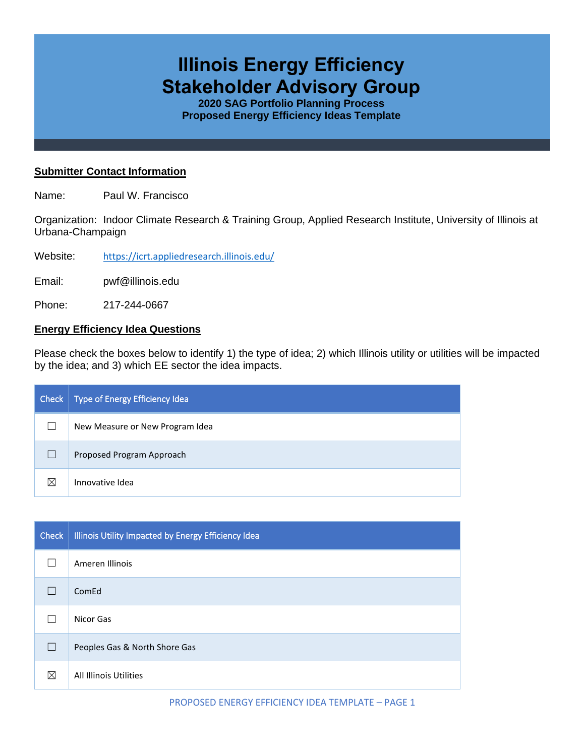# **Illinois Energy Efficiency Stakeholder Advisory Group**

**2020 SAG Portfolio Planning Process Proposed Energy Efficiency Ideas Template**

## **Submitter Contact Information**

Name: Paul W. Francisco

Organization: Indoor Climate Research & Training Group, Applied Research Institute, University of Illinois at Urbana-Champaign

Website: <https://icrt.appliedresearch.illinois.edu/>

Email: pwf@illinois.edu

Phone: 217-244-0667

#### **Energy Efficiency Idea Questions**

Please check the boxes below to identify 1) the type of idea; 2) which Illinois utility or utilities will be impacted by the idea; and 3) which EE sector the idea impacts.

| Check       | Type of Energy Efficiency Idea  |
|-------------|---------------------------------|
|             | New Measure or New Program Idea |
|             | Proposed Program Approach       |
| $\boxtimes$ | Innovative Idea                 |

| <b>Check</b> | Illinois Utility Impacted by Energy Efficiency Idea |
|--------------|-----------------------------------------------------|
|              | Ameren Illinois                                     |
|              | ComEd                                               |
|              | Nicor Gas                                           |
| $\mathbf{I}$ | Peoples Gas & North Shore Gas                       |
| ⊠            | All Illinois Utilities                              |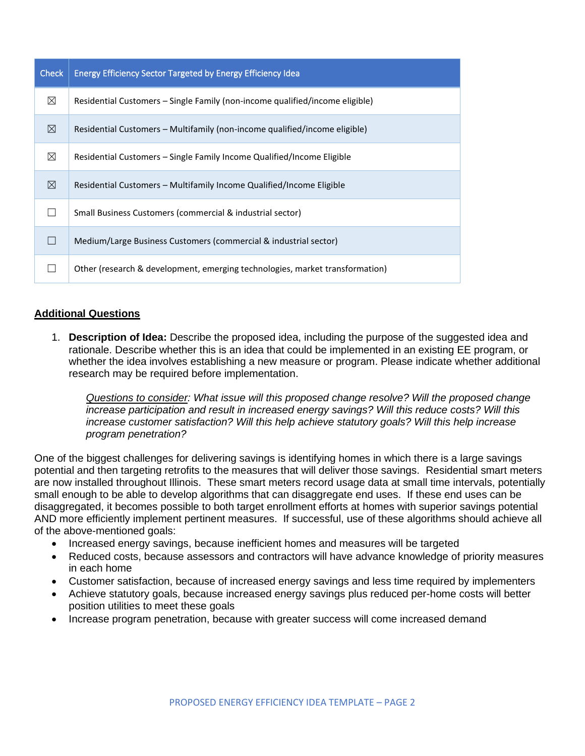| <b>Check</b> | Energy Efficiency Sector Targeted by Energy Efficiency Idea                  |
|--------------|------------------------------------------------------------------------------|
| ⊠            | Residential Customers – Single Family (non-income qualified/income eligible) |
| ⊠            | Residential Customers - Multifamily (non-income qualified/income eligible)   |
| ⊠            | Residential Customers – Single Family Income Qualified/Income Eligible       |
| ⊠            | Residential Customers – Multifamily Income Qualified/Income Eligible         |
|              | Small Business Customers (commercial & industrial sector)                    |
|              | Medium/Large Business Customers (commercial & industrial sector)             |
|              | Other (research & development, emerging technologies, market transformation) |

# **Additional Questions**

1. **Description of Idea:** Describe the proposed idea, including the purpose of the suggested idea and rationale. Describe whether this is an idea that could be implemented in an existing EE program, or whether the idea involves establishing a new measure or program. Please indicate whether additional research may be required before implementation.

*Questions to consider: What issue will this proposed change resolve? Will the proposed change increase participation and result in increased energy savings? Will this reduce costs? Will this increase customer satisfaction? Will this help achieve statutory goals? Will this help increase program penetration?* 

One of the biggest challenges for delivering savings is identifying homes in which there is a large savings potential and then targeting retrofits to the measures that will deliver those savings. Residential smart meters are now installed throughout Illinois. These smart meters record usage data at small time intervals, potentially small enough to be able to develop algorithms that can disaggregate end uses. If these end uses can be disaggregated, it becomes possible to both target enrollment efforts at homes with superior savings potential AND more efficiently implement pertinent measures. If successful, use of these algorithms should achieve all of the above-mentioned goals:

- Increased energy savings, because inefficient homes and measures will be targeted
- Reduced costs, because assessors and contractors will have advance knowledge of priority measures in each home
- Customer satisfaction, because of increased energy savings and less time required by implementers
- Achieve statutory goals, because increased energy savings plus reduced per-home costs will better position utilities to meet these goals
- Increase program penetration, because with greater success will come increased demand